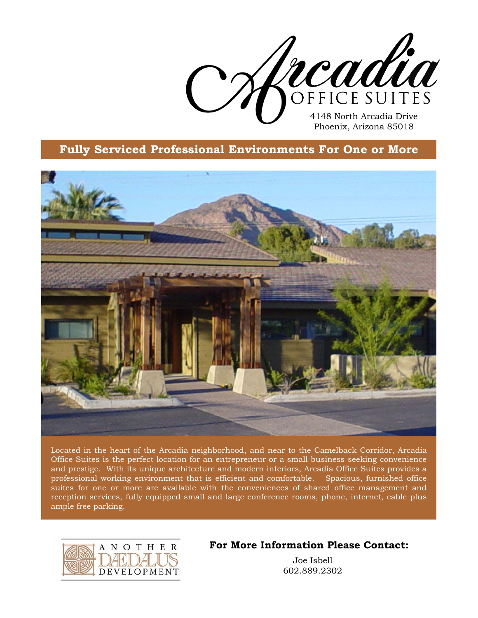

## **Fully Serviced Professional Environments For One or More**



Located in the heart of the Arcadia neighborhood, and near to the Camelback Corridor, Arcadia Office Suites is the perfect location for an entrepreneur or a small business seeking convenience and prestige. With its unique architecture and modern interiors, Arcadia Office Suites provides a professional working environment that is efficient and comfortable. Spacious, furnished office suites for one or more are available with the conveniences of shared office management and reception services, fully equipped small and large conference rooms, phone, internet, cable plus ample free parking.



## **For More Information Please Contact:**

Joe Isbell 602.889.2302